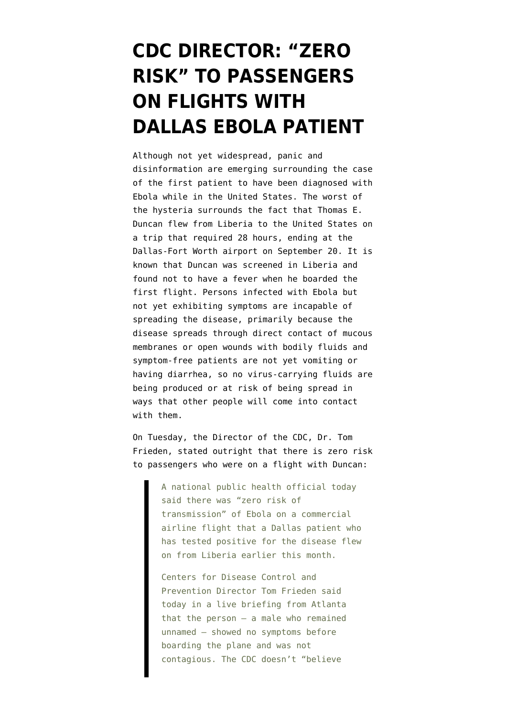## **[CDC DIRECTOR: "ZERO](https://www.emptywheel.net/2014/10/02/cdc-director-zero-risk-to-passengers-on-flights-with-dallas-ebola-patient/) [RISK" TO PASSENGERS](https://www.emptywheel.net/2014/10/02/cdc-director-zero-risk-to-passengers-on-flights-with-dallas-ebola-patient/) [ON FLIGHTS WITH](https://www.emptywheel.net/2014/10/02/cdc-director-zero-risk-to-passengers-on-flights-with-dallas-ebola-patient/) [DALLAS EBOLA PATIENT](https://www.emptywheel.net/2014/10/02/cdc-director-zero-risk-to-passengers-on-flights-with-dallas-ebola-patient/)**

Although not yet widespread, panic and disinformation are emerging surrounding the case of the first patient to have been diagnosed with Ebola while in the United States. The worst of the hysteria surrounds the fact that Thomas E. Duncan [flew from Liberia to the United States](http://www.cbsnews.com/news/ebola-patient-thomas-eric-duncan-flew-united-airlines-to-dallas-texas/) on a trip that required 28 hours, ending at the Dallas-Fort Worth airport on September 20. It is known that [Duncan was screened in Liberia](http://www.nytimes.com/2014/10/02/us/man-in-us-with-ebola-had-been-screened-to-fly-but-system-is-spotty.html) and found not to have a fever when he boarded the first flight. Persons infected with Ebola but not yet exhibiting [symptoms](http://www.who.int/csr/disease/ebola/faq-ebola/en/) are incapable of spreading the disease, primarily because the disease [spreads](http://www.cdc.gov/vhf/ebola/transmission/qas.html) through [direct contact](http://www.cdc.gov/vhf/ebola/transmission/) of mucous membranes or open wounds with bodily fluids and symptom-free patients are not yet vomiting or having diarrhea, so no virus-carrying fluids are being produced or at risk of being spread in ways that other people will come into contact with them.

On Tuesday, the Director of the CDC, Dr. [Tom](http://aviationblog.dallasnews.com/2014/09/cdc-says-theres-zero-risk-on-commercial-airline-flight-of-dallas-ebola-patient.html/) [Frieden, stated outright that there is zero risk](http://aviationblog.dallasnews.com/2014/09/cdc-says-theres-zero-risk-on-commercial-airline-flight-of-dallas-ebola-patient.html/) [to passengers who were on a flight with Duncan:](http://aviationblog.dallasnews.com/2014/09/cdc-says-theres-zero-risk-on-commercial-airline-flight-of-dallas-ebola-patient.html/)

> A national public health official today said there was "zero risk of transmission" of Ebola on a commercial airline flight that a Dallas patient who has tested positive for the disease flew on from Liberia earlier this month.

Centers for Disease Control and Prevention Director Tom Frieden said today in a live briefing from Atlanta that the person — a male who remained unnamed — showed no symptoms before boarding the plane and was not contagious. The CDC doesn't "believe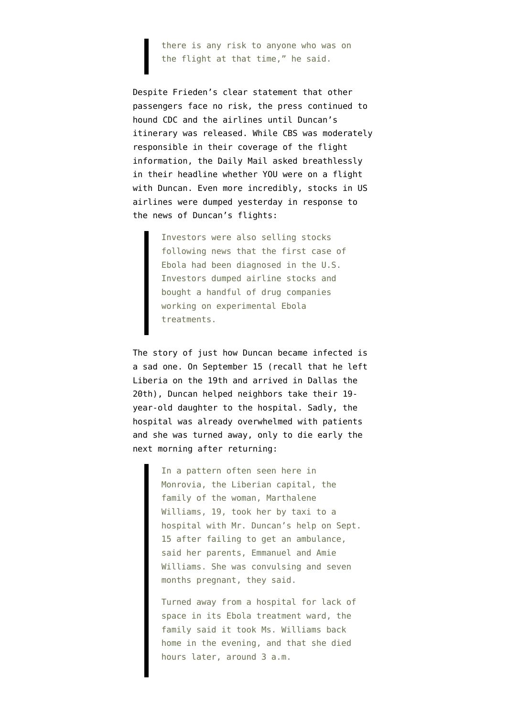there is any risk to anyone who was on the flight at that time," he said.

Despite Frieden's clear statement that other passengers face no risk, the press continued to hound CDC and the airlines until Duncan's itinerary was released. While [CBS was moderately](http://www.cbsnews.com/news/ebola-patient-thomas-eric-duncan-flew-united-airlines-to-dallas-texas/) [responsible](http://www.cbsnews.com/news/ebola-patient-thomas-eric-duncan-flew-united-airlines-to-dallas-texas/) in their coverage of the flight information, the [Daily Mail asked breathlessly](http://www.dailymail.co.uk/news/article-2777375/Were-YOU-flight-America-s-Ebola-victim-United-Airlines-reveals-details-three-flights-Thomas-Duncan-caught-Liberia-Dallas.html) in their headline whether YOU were on a flight with Duncan. Even more incredibly, [stocks in US](http://www.cbsnews.com/news/october-starts-with-a-fright-for-stocks/) [airlines were dumped yesterday](http://www.cbsnews.com/news/october-starts-with-a-fright-for-stocks/) in response to the news of Duncan's flights:

> Investors were also selling stocks following news that the first case of Ebola had been diagnosed in the U.S. Investors dumped airline stocks and bought a handful of drug companies working on experimental Ebola treatments.

The story of just [how Duncan became infected](http://www.nytimes.com/2014/10/02/world/africa/ebola-victim-texas-thomas-eric-duncan.html) is a sad one. On September 15 (recall that he left Liberia on the 19th and arrived in Dallas the 20th), Duncan helped neighbors take their 19 year-old daughter to the hospital. Sadly, the hospital was already overwhelmed with patients and she was turned away, only to die early the next morning after returning:

> In a pattern often seen here in Monrovia, the Liberian capital, the family of the woman, Marthalene Williams, 19, took her by taxi to a hospital with Mr. Duncan's help on Sept. 15 after failing to get an ambulance, said her parents, Emmanuel and Amie Williams. She was convulsing and seven months pregnant, they said.

Turned away from a hospital for lack of space in its Ebola treatment ward, the family said it took Ms. Williams back home in the evening, and that she died hours later, around 3 a.m.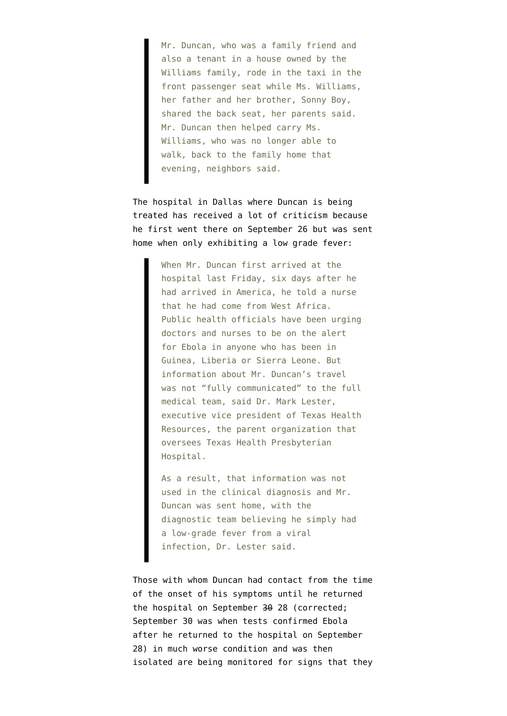Mr. Duncan, who was a family friend and also a tenant in a house owned by the Williams family, rode in the taxi in the front passenger seat while Ms. Williams, her father and her brother, Sonny Boy, shared the back seat, her parents said. Mr. Duncan then helped carry Ms. Williams, who was no longer able to walk, back to the family home that evening, neighbors said.

The hospital in Dallas where Duncan is being treated has received a lot of [criticism](http://www.nytimes.com/2014/10/02/us/after-ebola-case-in-dallas-health-officials-seek-those-who-had-contact-with-patient.html) because he first went there on September 26 but was sent home when only exhibiting a low grade fever:

> When Mr. Duncan first arrived at the hospital last Friday, six days after he had arrived in America, he told a nurse that he had come from West Africa. Public health officials have been urging doctors and nurses to be on the alert for Ebola in anyone who has been in Guinea, Liberia or Sierra Leone. But information about Mr. Duncan's travel was not "fully communicated" to the full medical team, said Dr. Mark Lester, executive vice president of Texas Health Resources, the parent organization that oversees Texas Health Presbyterian Hospital.

As a result, that information was not used in the clinical diagnosis and Mr. Duncan was sent home, with the diagnostic team believing he simply had a low-grade fever from a viral infection, Dr. Lester said.

Those with whom Duncan had contact from the time of the onset of his symptoms until he returned the hospital on September 30 28 (corrected; September 30 was when tests confirmed Ebola after he returned to the hospital on September 28) in much worse condition and was then isolated are being monitored for signs that they